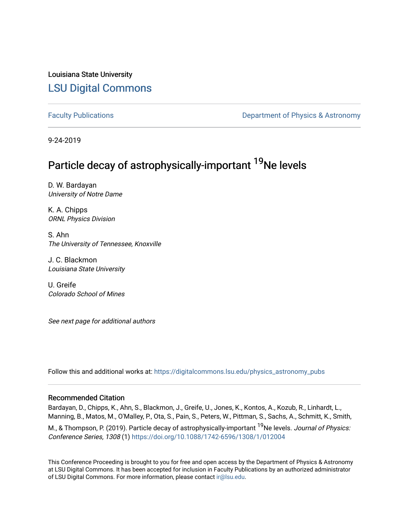Louisiana State University [LSU Digital Commons](https://digitalcommons.lsu.edu/)

[Faculty Publications](https://digitalcommons.lsu.edu/physics_astronomy_pubs) **Example 2** Constant Department of Physics & Astronomy

9-24-2019

## Particle decay of astrophysically-important <sup>19</sup>Ne levels

D. W. Bardayan University of Notre Dame

K. A. Chipps ORNL Physics Division

S. Ahn The University of Tennessee, Knoxville

J. C. Blackmon Louisiana State University

U. Greife Colorado School of Mines

See next page for additional authors

Follow this and additional works at: [https://digitalcommons.lsu.edu/physics\\_astronomy\\_pubs](https://digitalcommons.lsu.edu/physics_astronomy_pubs?utm_source=digitalcommons.lsu.edu%2Fphysics_astronomy_pubs%2F213&utm_medium=PDF&utm_campaign=PDFCoverPages) 

### Recommended Citation

Bardayan, D., Chipps, K., Ahn, S., Blackmon, J., Greife, U., Jones, K., Kontos, A., Kozub, R., Linhardt, L., Manning, B., Matos, M., O'Malley, P., Ota, S., Pain, S., Peters, W., Pittman, S., Sachs, A., Schmitt, K., Smith, M., & Thompson, P. (2019). Particle decay of astrophysically-important <sup>19</sup>Ne levels. Journal of Physics: Conference Series, 1308 (1)<https://doi.org/10.1088/1742-6596/1308/1/012004>

This Conference Proceeding is brought to you for free and open access by the Department of Physics & Astronomy at LSU Digital Commons. It has been accepted for inclusion in Faculty Publications by an authorized administrator of LSU Digital Commons. For more information, please contact [ir@lsu.edu](mailto:ir@lsu.edu).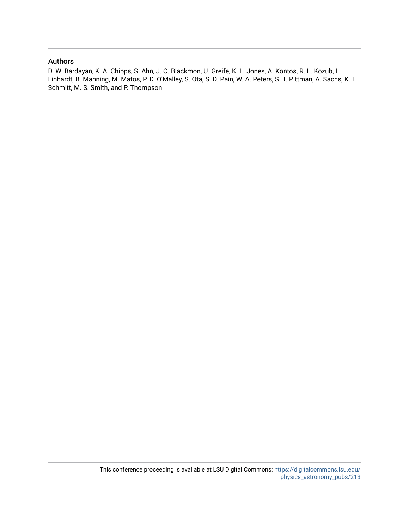## Authors

D. W. Bardayan, K. A. Chipps, S. Ahn, J. C. Blackmon, U. Greife, K. L. Jones, A. Kontos, R. L. Kozub, L. Linhardt, B. Manning, M. Matos, P. D. O'Malley, S. Ota, S. D. Pain, W. A. Peters, S. T. Pittman, A. Sachs, K. T. Schmitt, M. S. Smith, and P. Thompson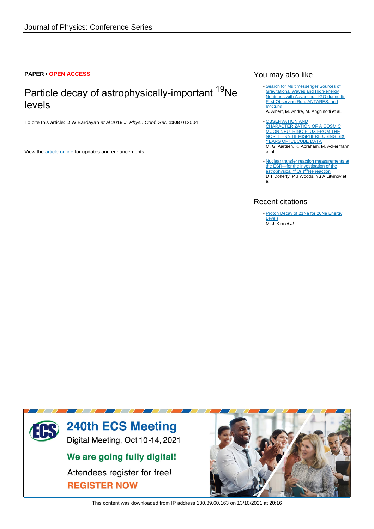## **PAPER • OPEN ACCESS**

## Particle decay of astrophysically-important <sup>19</sup>Ne levels

To cite this article: D W Bardayan et al 2019 J. Phys.: Conf. Ser. **1308** 012004

View the [article online](https://doi.org/10.1088/1742-6596/1308/1/012004) for updates and enhancements.

## You may also like

- [Search for Multimessenger Sources of](/article/10.3847/1538-4357/aaf21d) [Gravitational Waves and High-energy](/article/10.3847/1538-4357/aaf21d) [Neutrinos with Advanced LIGO during Its](/article/10.3847/1538-4357/aaf21d) [First Observing Run, ANTARES, and](/article/10.3847/1538-4357/aaf21d) **[IceCube](/article/10.3847/1538-4357/aaf21d)** 

A. Albert, M. André, M. Anghinolfi et al.

- [OBSERVATION AND](/article/10.3847/0004-637X/833/1/3) [CHARACTERIZATION OF A COSMIC](/article/10.3847/0004-637X/833/1/3) [MUON NEUTRINO FLUX FROM THE](/article/10.3847/0004-637X/833/1/3) [NORTHERN HEMISPHERE USING SIX](/article/10.3847/0004-637X/833/1/3) [YEARS OF ICECUBE DATA](/article/10.3847/0004-637X/833/1/3) M. G. Aartsen, K. Abraham, M. Ackermann et al.
- [Nuclear transfer reaction measurements at](/article/10.1088/0031-8949/2015/T166/014007) [the ESR—for the investigation of the](/article/10.1088/0031-8949/2015/T166/014007)<br>[astrophysical](/article/10.1088/0031-8949/2015/T166/014007) <sup>[1](/article/10.1088/0031-8949/2015/T166/014007)5</sup>[O\(,\)](/article/10.1088/0031-8949/2015/T166/014007)<sup>19</sup>[Ne reaction](/article/10.1088/0031-8949/2015/T166/014007) D T Doherty, P J Woods, Yu A Litvinov et al. -

## Recent citations

- [Proton Decay of 21Na for 20Ne Energy](https://doi.org/10.3938/jkps.77.383) **[Levels](https://doi.org/10.3938/jkps.77.383)** M. J. Kim et al



This content was downloaded from IP address 130.39.60.163 on 13/10/2021 at 20:16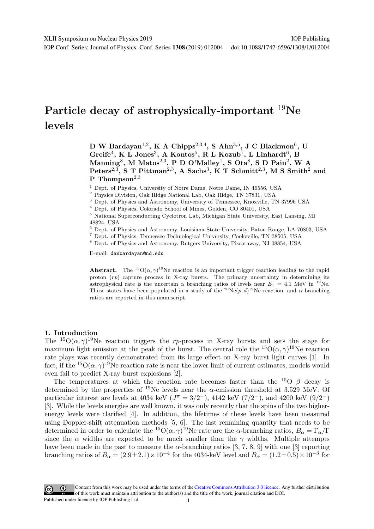# Particle decay of astrophysically-important <sup>19</sup>Ne levels

D W Bardayan<sup>1,2</sup>, K A Chipps<sup>2,3,4</sup>, S Ahn<sup>3,5</sup>, J C Blackmon<sup>6</sup>, U Greife<sup>4</sup>, K L Jones<sup>3</sup>, A Kontos<sup>5</sup>, R L Kozub<sup>7</sup>, L Linhardt<sup>6</sup>, B Manning<sup>8</sup>, M Matos<sup>2,3</sup>, P D O'Malley<sup>1</sup>, S Ota<sup>8</sup>, S D Pain<sup>2</sup>, W A Peters<sup>2,3</sup>, S T Pittman<sup>2,3</sup>, A Sachs<sup>3</sup>, K T Schmitt<sup>2,3</sup>, M S Smith<sup>2</sup> and P Thompson<sup>2,3</sup>

 $^1$  Dept. of Physics, University of Notre Dame, Notre Dame, IN 46556, USA  $^2$  Physics Division, Oak Ridge National Lab, Oak Ridge, TN 37831, USA  $^3$  Dept. of Physics and Astronomy, University of Tennessee, Knoxville, T

48824, USA

 $^6$  Dept. of Physics and Astronomy, Louisiana State University, Baton Rouge, LA 70803, USA $^7$  Dept. of Physics, Tennessee Technological University, Cookeville, TN 38505, USA  $^8$  Dept. of Physics and Astronomy, Rutgers

E-mail: danbardayan@nd.edu

**Abstract.** The <sup>15</sup> $O(\alpha, \gamma)^{19}$ Ne reaction is an important trigger reaction leading to the rapid proton  $(rp)$  capture process in X-ray bursts. The primary uncertainty in determining its astrophysical rate is the uncertain  $\alpha$  branching ratios of levels near  $E_x = 4.1$  MeV in <sup>19</sup>Ne. These states have been populated in a study of the <sup>20</sup>Ne $(p, d)$ <sup>19</sup>Ne reaction, and  $\alpha$  branching ratios are reported in this manuscript.

### 1. Introduction

The <sup>15</sup>O( $\alpha$ ,  $\gamma$ )<sup>19</sup>Ne reaction triggers the rp-process in X-ray bursts and sets the stage for maximum light emission at the peak of the burst. The central role the  ${}^{15}O(\alpha, \gamma) {}^{19}Ne$  reaction rate plays was recently demonstrated from its large effect on X-ray burst light curves [1]. In fact, if the <sup>15</sup>O( $\alpha$ ,  $\gamma$ )<sup>19</sup>Ne reaction rate is near the lower limit of current estimates, models would even fail to predict X-ray burst explosions [2].

The temperatures at which the reaction rate becomes faster than the <sup>15</sup>O  $\beta$  decay is determined by the properties of <sup>19</sup>Ne levels near the  $\alpha$ -emission threshold at 3.529 MeV. Of particular interest are levels at 4034 keV ( $J^{\pi} = 3/2^{+}$ ), 4142 keV (7/2<sup>-</sup>), and 4200 keV (9/2<sup>-</sup>) [3]. While the levels energies are well known, it was only recently that the spins of the two higherenergy levels were clarified [4]. In addition, the lifetimes of these levels have been measured using Doppler-shift attenuation methods [5, 6]. The last remaining quantity that needs to be determined in order to calculate the <sup>15</sup>O( $(\alpha, \gamma)$ <sup>19</sup>Ne rate are the  $\alpha$ -branching ratios,  $B_{\alpha} = \Gamma_{\alpha}/\Gamma$ since the  $\alpha$  widths are expected to be much smaller than the  $\gamma$  widths. Multiple attempts have been made in the past to measure the  $\alpha$ -branching ratios [3, 7, 8, 9] with one [3] reporting branching ratios of  $B_{\alpha} = (2.9 \pm 2.1) \times 10^{-4}$  for the 4034-keV level and  $B_{\alpha} = (1.2 \pm 0.5) \times 10^{-3}$  for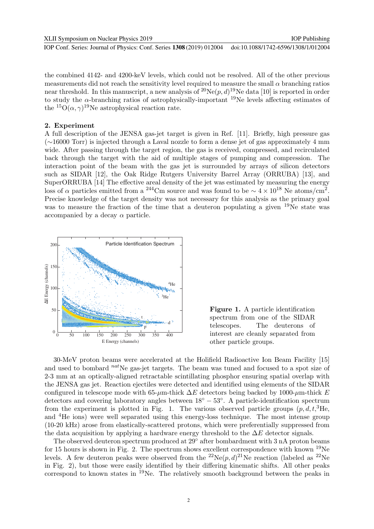the combined 4142- and 4200-keV levels, which could not be resolved. All of the other previous measurements did not reach the sensitivity level required to measure the small  $\alpha$  branching ratios near threshold. In this manuscript, a new analysis of  ${}^{20}Ne(p, d){}^{19}Ne$  data [10] is reported in order to study the  $\alpha$ -branching ratios of astrophysically-important <sup>19</sup>Ne levels affecting estimates of the  ${}^{15}O(\alpha, \gamma)$ <sup>19</sup>Ne astrophysical reaction rate.

## 2. Experiment

A full description of the JENSA gas-jet target is given in Ref. [11]. Briefly, high pressure gas (∼16000 Torr) is injected through a Laval nozzle to form a dense jet of gas approximately 4 mm wide. After passing through the target region, the gas is received, compressed, and recirculated back through the target with the aid of multiple stages of pumping and compression. The interaction point of the beam with the gas jet is surrounded by arrays of silicon detectors such as SIDAR [12], the Oak Ridge Rutgers University Barrel Array (ORRUBA) [13], and SuperORRUBA [14] The effective areal density of the jet was estimated by measuring the energy loss of  $\alpha$  particles emitted from a <sup>244</sup>Cm source and was found to be  $\sim 4 \times 10^{18}$  Ne atoms/cm<sup>2</sup>. Precise knowledge of the target density was not necessary for this analysis as the primary goal was to measure the fraction of the time that a deuteron populating a given <sup>19</sup>Ne state was accompanied by a decay  $\alpha$  particle.





30-MeV proton beams were accelerated at the Holifield Radioactive Ion Beam Facility [15] and used to bombard  $^{nat}$ Ne gas-jet targets. The beam was tuned and focused to a spot size of 2-3 mm at an optically-aligned retractable scintillating phosphor ensuring spatial overlap with the JENSA gas jet. Reaction ejectiles were detected and identified using elements of the SIDAR configured in telescope mode with 65-µm-thick  $\Delta E$  detectors being backed by 1000-µm-thick E detectors and covering laboratory angles between 18◦ − 53◦ . A particle-identification spectrum from the experiment is plotted in Fig. 1. The various observed particle groups  $(p, d, t, \mathrm{^3He})$ and <sup>4</sup>He ions) were well separated using this energy-loss technique. The most intense group (10-20 kHz) arose from elastically-scattered protons, which were preferentially suppressed from the data acquisition by applying a hardware energy threshold to the  $\Delta E$  detector signals.

The observed deuteron spectrum produced at 29◦ after bombardment with 3 nA proton beams for 15 hours is shown in Fig. 2. The spectrum shows excellent correspondence with known  $^{19}$ Ne levels. A few deuteron peaks were observed from the <sup>22</sup>Ne $(p, d)$ <sup>21</sup>Ne reaction (labeled as <sup>22</sup>Ne in Fig. 2), but those were easily identified by their differing kinematic shifts. All other peaks correspond to known states in  $^{19}$ Ne. The relatively smooth background between the peaks in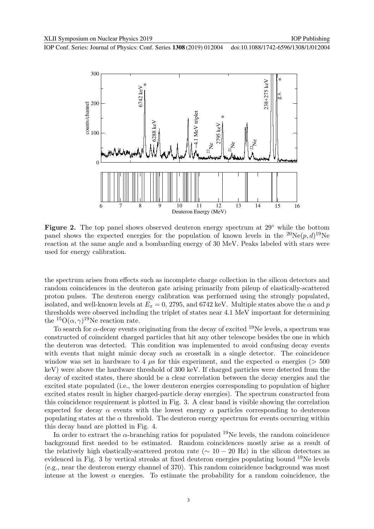

Figure 2. The top panel shows observed deuteron energy spectrum at 29° while the bottom panel shows the expected energies for the population of known levels in the  ${}^{20}Ne(p,d){}^{19}Ne$ reaction at the same angle and a bombarding energy of 30 MeV. Peaks labeled with stars were used for energy calibration.

the spectrum arises from effects such as incomplete charge collection in the silicon detectors and random coincidences in the deuteron gate arising primarily from pileup of elastically-scattered proton pulses. The deuteron energy calibration was performed using the strongly populated, isolated, and well-known levels at  $E_x = 0$ , 2795, and 6742 keV. Multiple states above the  $\alpha$  and p thresholds were observed including the triplet of states near 4.1 MeV important for determining the  ${}^{15}O(\alpha, \gamma)$ <sup>19</sup>Ne reaction rate.

To search for  $\alpha$ -decay events originating from the decay of excited <sup>19</sup>Ne levels, a spectrum was constructed of coincident charged particles that hit any other telescope besides the one in which the deuteron was detected. This condition was implemented to avoid confusing decay events with events that might mimic decay such as crosstalk in a single detector. The coincidence window was set in hardware to 4  $\mu$ s for this experiment, and the expected  $\alpha$  energies ( $> 500$ keV) were above the hardware threshold of 300 keV. If charged particles were detected from the decay of excited states, there should be a clear correlation between the decay energies and the excited state populated (i.e., the lower deuteron energies corresponding to population of higher excited states result in higher charged-particle decay energies). The spectrum constructed from this coincidence requirement is plotted in Fig. 3. A clear band is visible showing the correlation expected for decay  $\alpha$  events with the lowest energy  $\alpha$  particles corresponding to deuterons populating states at the  $\alpha$  threshold. The deuteron energy spectrum for events occurring within this decay band are plotted in Fig. 4.

In order to extract the  $\alpha$ -branching ratios for populated <sup>19</sup>Ne levels, the random coincidence background first needed to be estimated. Random coincidences mostly arise as a result of the relatively high elastically-scattered proton rate ( $\sim 10 - 20$  Hz) in the silicon detectors as evidenced in Fig. 3 by vertical streaks at fixed deuteron energies populating bound  $^{19}$ Ne levels (e.g., near the deuteron energy channel of 370). This random coincidence background was most intense at the lowest  $\alpha$  energies. To estimate the probability for a random coincidence, the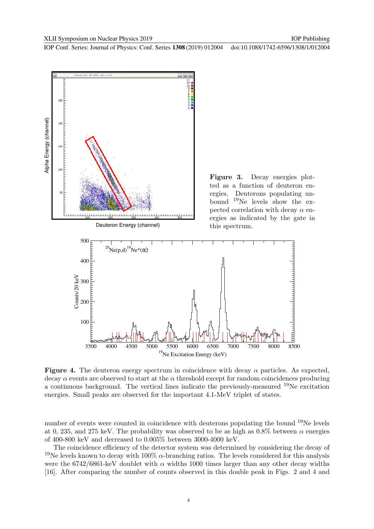

Figure 3. Decay energies plotted as a function of deuteron energies. Deuterons populating unbound <sup>19</sup>Ne levels show the expected correlation with decay  $\alpha$  energies as indicated by the gate in this spectrum.



**Figure 4.** The deuteron energy spectrum in coincidence with decay  $\alpha$  particles. As expected, decay  $\alpha$  events are observed to start at the  $\alpha$  threshold except for random coincidences producing a continuous background. The vertical lines indicate the previously-measured <sup>19</sup>Ne excitation energies. Small peaks are observed for the important 4.1-MeV triplet of states.

number of events were counted in coincidence with deuterons populating the bound <sup>19</sup>Ne levels at 0, 235, and 275 keV. The probability was observed to be as high as  $0.8\%$  between  $\alpha$  energies of 400-800 keV and decreased to 0.005% between 3000-4000 keV.

The coincidence efficiency of the detector system was determined by considering the decay of <sup>19</sup>Ne levels known to decay with 100%  $\alpha$ -branching ratios. The levels considered for this analysis were the 6742/6861-keV doublet with  $\alpha$  widths 1000 times larger than any other decay widths [16]. After comparing the number of counts observed in this double peak in Figs. 2 and 4 and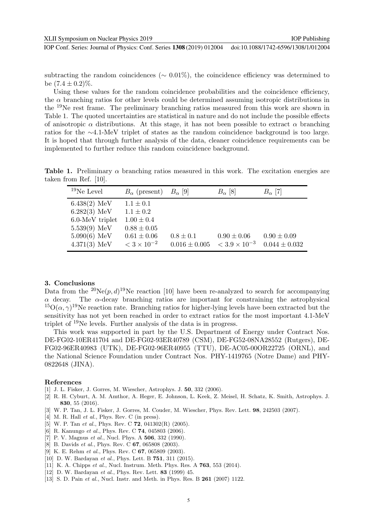IOP Publishing

subtracting the random coincidences ( $\sim 0.01\%$ ), the coincidence efficiency was determined to be  $(7.4 \pm 0.2)\%$ .

Using these values for the random coincidence probabilities and the coincidence efficiency, the  $\alpha$  branching ratios for other levels could be determined assuming isotropic distributions in the <sup>19</sup>Ne rest frame. The preliminary branching ratios measured from this work are shown in Table 1. The quoted uncertainties are statistical in nature and do not include the possible effects of anisotropic  $\alpha$  distributions. At this stage, it has not been possible to extract  $\alpha$  branching ratios for the ∼4.1-MeV triplet of states as the random coincidence background is too large. It is hoped that through further analysis of the data, cleaner coincidence requirements can be implemented to further reduce this random coincidence background.

Table 1. Preliminary  $\alpha$  branching ratios measured in this work. The excitation energies are taken from Ref. [10].

| $19$ Ne Level                                                                                                | $B_{\alpha}$ (present) $B_{\alpha}$ [9]                                                                        |                                    | $B_{\alpha}$ [8]                          | $B_{\alpha}$ [7]                     |
|--------------------------------------------------------------------------------------------------------------|----------------------------------------------------------------------------------------------------------------|------------------------------------|-------------------------------------------|--------------------------------------|
| $6.438(2)$ MeV<br>$6.282(3)$ MeV<br>$6.0$ -MeV triplet<br>$5.539(9)$ MeV<br>$5.090(6)$ MeV<br>$4.371(3)$ MeV | $1.1 \pm 0.1$<br>$1.1 \pm 0.2$<br>$1.00 \pm 0.4$<br>$0.88 \pm 0.05$<br>$0.61 \pm 0.06$<br>$< 3 \times 10^{-2}$ | $0.8 \pm 0.1$<br>$0.016 \pm 0.005$ | $0.90 \pm 0.06$<br>$< 3.9 \times 10^{-3}$ | $0.90 \pm 0.09$<br>$0.044 \pm 0.032$ |

#### 3. Conclusions

Data from the <sup>20</sup>Ne $(p, d)$ <sup>19</sup>Ne reaction [10] have been re-analyzed to search for accompanying  $\alpha$  decay. The  $\alpha$ -decay branching ratios are important for constraining the astrophysical  $^{15}O(\alpha, \gamma)^{19}$ Ne reaction rate. Branching ratios for higher-lying levels have been extracted but the sensitivity has not yet been reached in order to extract ratios for the most important 4.1-MeV triplet of <sup>19</sup>Ne levels. Further analysis of the data is in progress.

This work was supported in part by the U.S. Department of Energy under Contract Nos. DE-FG02-10ER41704 and DE-FG02-93ER40789 (CSM), DE-FG52-08NA28552 (Rutgers), DE-FG02-96ER40983 (UTK), DE-FG02-96ER40955 (TTU), DE-AC05-00OR22725 (ORNL), and the National Science Foundation under Contract Nos. PHY-1419765 (Notre Dame) and PHY-0822648 (JINA).

#### References

- [1] J. L. Fisker, J. Gorres, M. Wiescher, Astrophys. J. 50, 332 (2006).
- [2] R. H. Cyburt, A. M. Amthor, A. Heger, E. Johnson, L. Keek, Z. Meisel, H. Schatz, K. Smith, Astrophys. J. 830, 55 (2016).
- [3] W. P. Tan, J. L. Fisker, J. Gorres, M. Couder, M. Wiescher, Phys. Rev. Lett. 98, 242503 (2007).
- [4] M. R. Hall *et al.*, Phys. Rev. C (in press).
- [5] W. P. Tan et al., Phys. Rev. C **72**, 041302(R) (2005).
- [6] R. Kanungo et al., Phys. Rev. C **74**, 045803 (2006).
- [7] P. V. Magnus *et al.*, Nucl. Phys. A **506**, 332 (1990).
- [8] B. Davids *et al.*, Phys. Rev. C **67**, 065808 (2003).
- [9] K. E. Rehm *et al.*, Phys. Rev. C **67**, 065809 (2003).
- [10] D. W. Bardayan et al., Phys. Lett. B **751**, 311 (2015).
- [11] K. A. Chipps et al., Nucl. Instrum. Meth. Phys. Res. A **763**, 553 (2014).
- [12] D. W. Bardayan et al., Phys. Rev. Lett. **83** (1999) 45.
- [13] S. D. Pain et al., Nucl. Instr. and Meth. in Phys. Res. B **261** (2007) 1122.